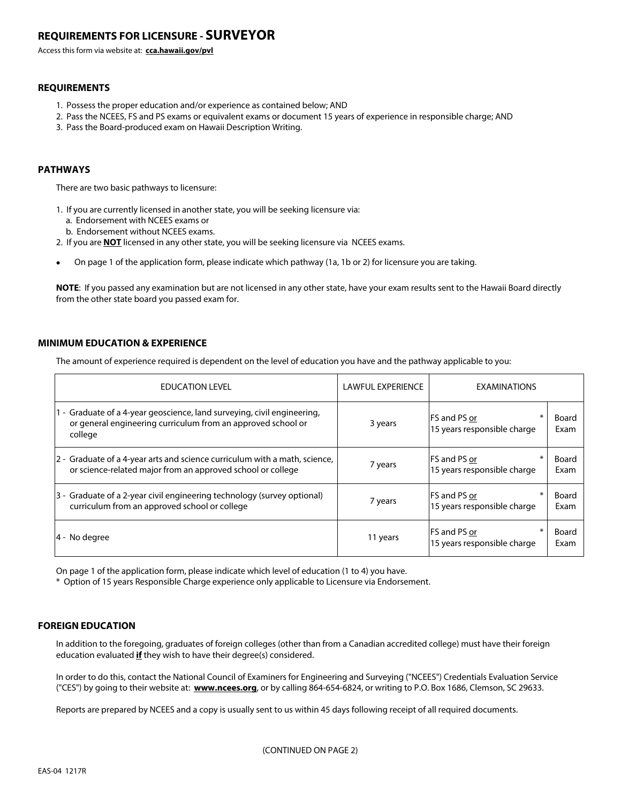# **REQUIREMENTS FOR LICENSURE - SURVEYOR**

Access this form via website at: **cca.hawaii.gov/pvl**

# **REQUIREMENTS**

- 1. Possess the proper education and/or experience as contained below; AND
- 2. Pass the NCEES, FS and PS exams or equivalent exams or document 15 years of experience in responsible charge; AND
- 3. Pass the Board-produced exam on Hawaii Description Writing.

# **PATHWAYS**

There are two basic pathways to licensure:

- 1. If you are currently licensed in another state, you will be seeking licensure via:
	- a. Endorsement with NCEES exams or
	- b. Endorsement without NCEES exams.
- 2. If you are **NOT** licensed in any other state, you will be seeking licensure via NCEES exams.
- **•** On page 1 of the application form, please indicate which pathway (1a, 1b or 2) for licensure you are taking.

**NOTE**: If you passed any examination but are not licensed in any other state, have your exam results sent to the Hawaii Board directly from the other state board you passed exam for.

# **MINIMUM EDUCATION & EXPERIENCE**

The amount of experience required is dependent on the level of education you have and the pathway applicable to you:

| <b>EDUCATION LEVEL</b>                                                                                                                             | <b>LAWFUL EXPERIENCE</b> | <b>EXAMINATIONS</b>                                 |               |  |
|----------------------------------------------------------------------------------------------------------------------------------------------------|--------------------------|-----------------------------------------------------|---------------|--|
| 1 - Graduate of a 4-year geoscience, land surveying, civil engineering,<br>or general engineering curriculum from an approved school or<br>college | 3 years                  | <b>IFS and PS or</b><br>15 years responsible charge | Board<br>Exam |  |
| 2 - Graduate of a 4-year arts and science curriculum with a math, science,<br>or science-related major from an approved school or college          | 7 years                  | <b>IFS and PS or</b><br>15 years responsible charge | Board<br>Exam |  |
| 3 - Graduate of a 2-year civil engineering technology (survey optional)<br>curriculum from an approved school or college                           | 7 years                  | <b>IFS and PS or</b><br>15 years responsible charge | Board<br>Exam |  |
| 4 - No degree                                                                                                                                      | 11 years                 | <b>IFS and PS or</b><br>15 years responsible charge | Board<br>Exam |  |

On page 1 of the application form, please indicate which level of education (1 to 4) you have.

\* Option of 15 years Responsible Charge experience only applicable to Licensure via Endorsement.

### **FOREIGN EDUCATION**

In addition to the foregoing, graduates of foreign colleges (other than from a Canadian accredited college) must have their foreign education evaluated **if** they wish to have their degree(s) considered.

In order to do this, contact the National Council of Examiners for Engineering and Surveying ("NCEES") Credentials Evaluation Service ("CES") by going to their website at: **www.ncees.org**, or by calling 864-654-6824, or writing to P.O. Box 1686, Clemson, SC 29633.

Reports are prepared by NCEES and a copy is usually sent to us within 45 days following receipt of all required documents.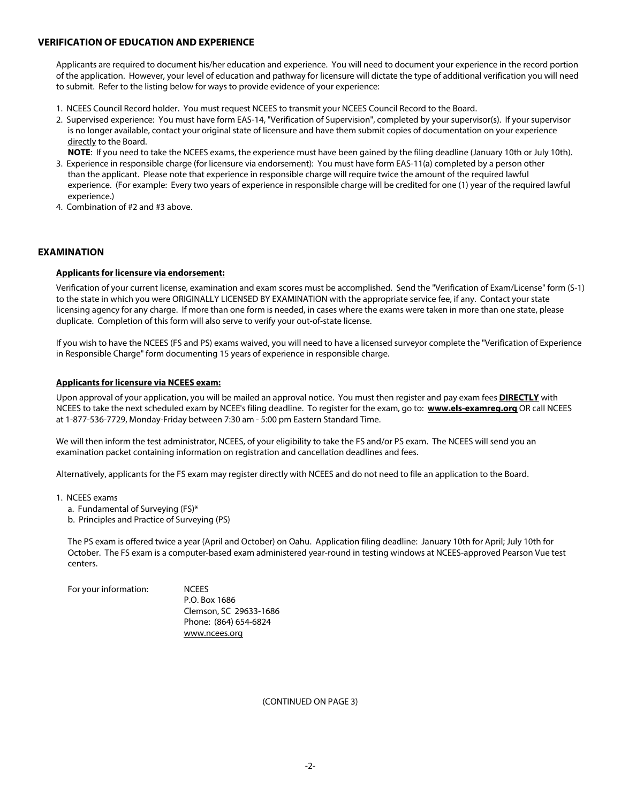# **VERIFICATION OF EDUCATION AND EXPERIENCE**

Applicants are required to document his/her education and experience. You will need to document your experience in the record portion of the application. However, your level of education and pathway for licensure will dictate the type of additional verification you will need to submit. Refer to the listing below for ways to provide evidence of your experience:

- 1. NCEES Council Record holder. You must request NCEES to transmit your NCEES Council Record to the Board.
- 2. Supervised experience: You must have form EAS-14, "Verification of Supervision", completed by your supervisor(s). If your supervisor is no longer available, contact your original state of licensure and have them submit copies of documentation on your experience directly to the Board.
- **NOTE:** If you need to take the NCEES exams, the experience must have been gained by the filing deadline (January 10th or July 10th). 3. Experience in responsible charge (for licensure via endorsement): You must have form EAS-11(a) completed by a person other
- than the applicant. Please note that experience in responsible charge will require twice the amount of the required lawful experience. (For example: Every two years of experience in responsible charge will be credited for one (1) year of the required lawful experience.)
- 4. Combination of #2 and #3 above.

# **EXAMINATION**

### **Applicants for licensure via endorsement:**

Verification of your current license, examination and exam scores must be accomplished. Send the "Verification of Exam/License" form (S-1) to the state in which you were ORIGINALLY LICENSED BY EXAMINATION with the appropriate service fee, if any. Contact your state licensing agency for any charge. If more than one form is needed, in cases where the exams were taken in more than one state, please duplicate. Completion of this form will also serve to verify your out-of-state license.

If you wish to have the NCEES (FS and PS) exams waived, you will need to have a licensed surveyor complete the "Verification of Experience in Responsible Charge" form documenting 15 years of experience in responsible charge.

### **Applicants for licensure via NCEES exam:**

Upon approval of your application, you will be mailed an approval notice. You must then register and pay exam fees **DIRECTLY** with NCEES to take the next scheduled exam by NCEE's filing deadline. To register for the exam, go to: **www.els-examreg.org** OR call NCEES at 1-877-536-7729, Monday-Friday between 7:30 am - 5:00 pm Eastern Standard Time.

We will then inform the test administrator, NCEES, of your eligibility to take the FS and/or PS exam. The NCEES will send you an examination packet containing information on registration and cancellation deadlines and fees.

Alternatively, applicants for the FS exam may register directly with NCEES and do not need to file an application to the Board.

- 1. NCEES exams
	- a. Fundamental of Surveying (FS)\*
	- b. Principles and Practice of Surveying (PS)

 The PS exam is offered twice a year (April and October) on Oahu. Application filing deadline: January 10th for April; July 10th for October. The FS exam is a computer-based exam administered year-round in testing windows at NCEES-approved Pearson Vue test centers.

| For your information: | <b>NCFFS</b>           |
|-----------------------|------------------------|
|                       | P.O. Box 1686          |
|                       | Clemson, SC 29633-1686 |
|                       | Phone: (864) 654-6824  |
|                       | www.ncees.org          |

(CONTINUED ON PAGE 3)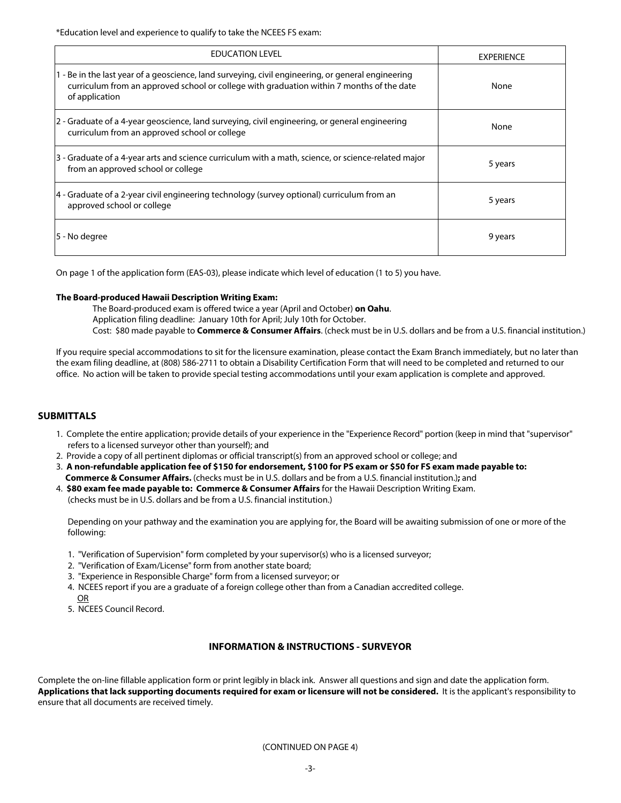\*Education level and experience to qualify to take the NCEES FS exam:

| <b>EDUCATION LEVEL</b>                                                                                                                                                                                            | <b>EXPERIENCE</b> |
|-------------------------------------------------------------------------------------------------------------------------------------------------------------------------------------------------------------------|-------------------|
| 1 - Be in the last year of a geoscience, land surveying, civil engineering, or general engineering<br>curriculum from an approved school or college with graduation within 7 months of the date<br>of application | None              |
| 2 - Graduate of a 4-year geoscience, land surveying, civil engineering, or general engineering<br>curriculum from an approved school or college                                                                   | None              |
| 3 - Graduate of a 4-year arts and science curriculum with a math, science, or science-related major<br>from an approved school or college                                                                         | 5 years           |
| 4 - Graduate of a 2-year civil engineering technology (survey optional) curriculum from an<br>approved school or college                                                                                          | 5 years           |
| 5 - No degree                                                                                                                                                                                                     | 9 years           |

On page 1 of the application form (EAS-03), please indicate which level of education (1 to 5) you have.

#### **The Board-produced Hawaii Description Writing Exam:**

The Board-produced exam is offered twice a year (April and October) **on Oahu**. Application filing deadline: January 10th for April; July 10th for October. Cost: \$80 made payable to **Commerce & Consumer Affairs**. (check must be in U.S. dollars and be from a U.S. financial institution.)

If you require special accommodations to sit for the licensure examination, please contact the Exam Branch immediately, but no later than the exam filing deadline, at (808) 586-2711 to obtain a Disability Certification Form that will need to be completed and returned to our office. No action will be taken to provide special testing accommodations until your exam application is complete and approved.

### **SUBMITTALS**

- 1. Complete the entire application; provide details of your experience in the "Experience Record" portion (keep in mind that "supervisor" refers to a licensed surveyor other than yourself); and
- 2. Provide a copy of all pertinent diplomas or official transcript(s) from an approved school or college; and
- 3. **A non-refundable application fee of \$150 for endorsement, \$100 for PS exam or \$50 for FS exam made payable to: Commerce & Consumer Affairs.** (checks must be in U.S. dollars and be from a U.S. financial institution.)**;** and
- 4. **\$80 exam fee made payable to: Commerce & Consumer Affairs** for the Hawaii Description Writing Exam. (checks must be in U.S. dollars and be from a U.S. financial institution.)

 Depending on your pathway and the examination you are applying for, the Board will be awaiting submission of one or more of the following:

- 1. "Verification of Supervision" form completed by your supervisor(s) who is a licensed surveyor;
- 2. "Verification of Exam/License" form from another state board;
- 3. "Experience in Responsible Charge" form from a licensed surveyor; or
- 4. NCEES report if you are a graduate of a foreign college other than from a Canadian accredited college. OR
- 5. NCEES Council Record.

# **INFORMATION & INSTRUCTIONS - SURVEYOR**

Complete the on-line fillable application form or print legibly in black ink. Answer all questions and sign and date the application form. **Applications that lack supporting documents required for exam or licensure will not be considered.** It is the applicant's responsibility to ensure that all documents are received timely.

(CONTINUED ON PAGE 4)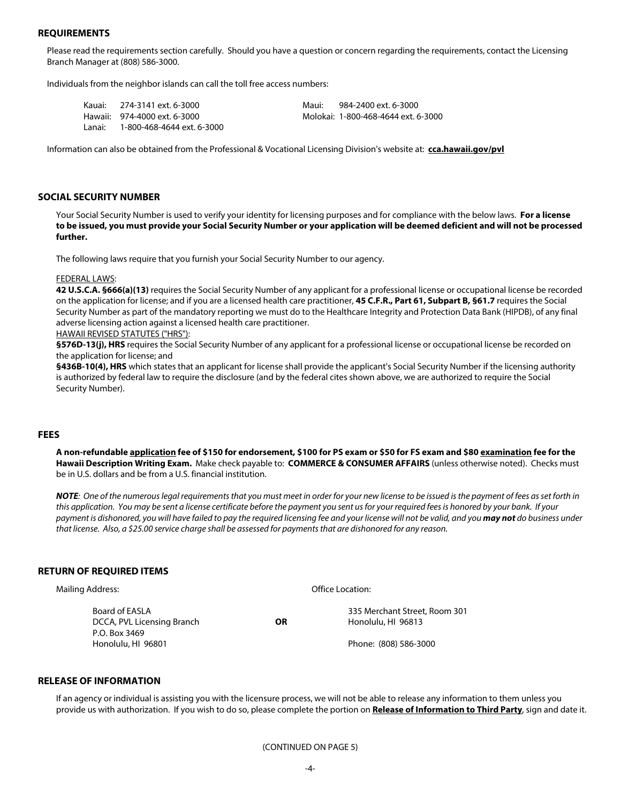### **REQUIREMENTS**

Please read the requirements section carefully. Should you have a question or concern regarding the requirements, contact the Licensing Branch Manager at (808) 586-3000.

Individuals from the neighbor islands can call the toll free access numbers:

| Kauai:  | 274-3141 ext. 6-3000         | Maui: | 984-2400 ext. 6-3000                |
|---------|------------------------------|-------|-------------------------------------|
|         | Hawaii: 974-4000 ext. 6-3000 |       | Molokai: 1-800-468-4644 ext. 6-3000 |
| l anai: | 1-800-468-4644 ext. 6-3000   |       |                                     |

Information can also be obtained from the Professional & Vocational Licensing Division's website at: **cca.hawaii.gov/pvl**

#### **SOCIAL SECURITY NUMBER**

Your Social Security Number is used to verify your identity for licensing purposes and for compliance with the below laws. **For a license to be issued, you must provide your Social Security Number or your application will be deemed deficient and will not be processed further.** 

The following laws require that you furnish your Social Security Number to our agency.

#### FEDERAL LAWS:

**42 U.S.C.A. §666(a)(13)** requires the Social Security Number of any applicant for a professional license or occupational license be recorded on the application for license; and if you are a licensed health care practitioner, **45 C.F.R., Part 61, Subpart B, §61.7** requires the Social Security Number as part of the mandatory reporting we must do to the Healthcare Integrity and Protection Data Bank (HIPDB), of any final adverse licensing action against a licensed health care practitioner.

HAWAII REVISED STATUTES ("HRS"):

§576D-13(j), HRS requires the Social Security Number of any applicant for a professional license or occupational license be recorded on the application for license; and

**§436B-10(4), HRS** which states that an applicant for license shall provide the applicant's Social Security Number if the licensing authority is authorized by federal law to require the disclosure (and by the federal cites shown above, we are authorized to require the Social Security Number).

## **FEES**

**A non-refundable application fee of \$150 for endorsement, \$100 for PS exam or \$50 for FS exam and \$80 examination fee for the Hawaii Description Writing Exam.** Make check payable to: **COMMERCE & CONSUMER AFFAIRS** (unless otherwise noted). Checks must be in U.S. dollars and be from a U.S. financial institution.

*NOTE: One of the numerous legal requirements that you must meet in order for your new license to be issued is the payment of fees as set forth in this application. You may be sent a license certificate before the payment you sent us for your required fees is honored by your bank. If your payment is dishonored, you will have failed to pay the required licensing fee and your license will not be valid, and you may not do business under that license. Also, a \$25.00 service charge shall be assessed for payments that are dishonored for any reason.*

#### **RETURN OF REQUIRED ITEMS**

| Mailing Address:                                              |    | Office Location:                                    |  |  |
|---------------------------------------------------------------|----|-----------------------------------------------------|--|--|
| Board of EASLA<br>DCCA, PVL Licensing Branch<br>P.O. Box 3469 | ΟR | 335 Merchant Street, Room 301<br>Honolulu, HI 96813 |  |  |
| Honolulu, HI 96801                                            |    | Phone: (808) 586-3000                               |  |  |

### **RELEASE OF INFORMATION**

If an agency or individual is assisting you with the licensure process, we will not be able to release any information to them unless you provide us with authorization. If you wish to do so, please complete the portion on **Release of Information to Third Party**, sign and date it.

(CONTINUED ON PAGE 5)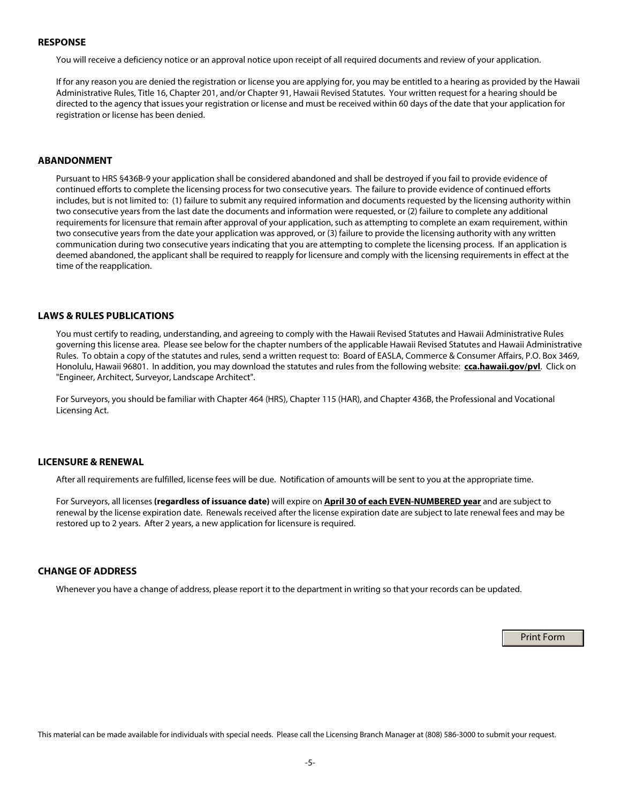#### **RESPONSE**

You will receive a deficiency notice or an approval notice upon receipt of all required documents and review of your application.

If for any reason you are denied the registration or license you are applying for, you may be entitled to a hearing as provided by the Hawaii Administrative Rules, Title 16, Chapter 201, and/or Chapter 91, Hawaii Revised Statutes. Your written request for a hearing should be directed to the agency that issues your registration or license and must be received within 60 days of the date that your application for registration or license has been denied.

### **ABANDONMENT**

Pursuant to HRS §436B-9 your application shall be considered abandoned and shall be destroyed if you fail to provide evidence of continued efforts to complete the licensing process for two consecutive years. The failure to provide evidence of continued efforts includes, but is not limited to: (1) failure to submit any required information and documents requested by the licensing authority within two consecutive years from the last date the documents and information were requested, or (2) failure to complete any additional requirements for licensure that remain after approval of your application, such as attempting to complete an exam requirement, within two consecutive years from the date your application was approved, or (3) failure to provide the licensing authority with any written communication during two consecutive years indicating that you are attempting to complete the licensing process. If an application is deemed abandoned, the applicant shall be required to reapply for licensure and comply with the licensing requirements in effect at the time of the reapplication.

### **LAWS & RULES PUBLICATIONS**

You must certify to reading, understanding, and agreeing to comply with the Hawaii Revised Statutes and Hawaii Administrative Rules governing this license area. Please see below for the chapter numbers of the applicable Hawaii Revised Statutes and Hawaii Administrative Rules. To obtain a copy of the statutes and rules, send a written request to: Board of EASLA, Commerce & Consumer Affairs, P.O. Box 3469, Honolulu, Hawaii 96801. In addition, you may download the statutes and rules from the following website: **cca.hawaii.gov/pvl**. Click on "Engineer, Architect, Surveyor, Landscape Architect".

For Surveyors, you should be familiar with Chapter 464 (HRS), Chapter 115 (HAR), and Chapter 436B, the Professional and Vocational Licensing Act.

# **LICENSURE & RENEWAL**

After all requirements are fulfilled, license fees will be due. Notification of amounts will be sent to you at the appropriate time.

For Surveyors, all licenses **(regardless of issuance date)** will expire on **April 30 of each EVEN-NUMBERED year** and are subject to renewal by the license expiration date. Renewals received after the license expiration date are subject to late renewal fees and may be restored up to 2 years. After 2 years, a new application for licensure is required.

# **CHANGE OF ADDRESS**

Whenever you have a change of address, please report it to the department in writing so that your records can be updated.

Print Form

This material can be made available for individuals with special needs. Please call the Licensing Branch Manager at (808) 586-3000 to submit your request.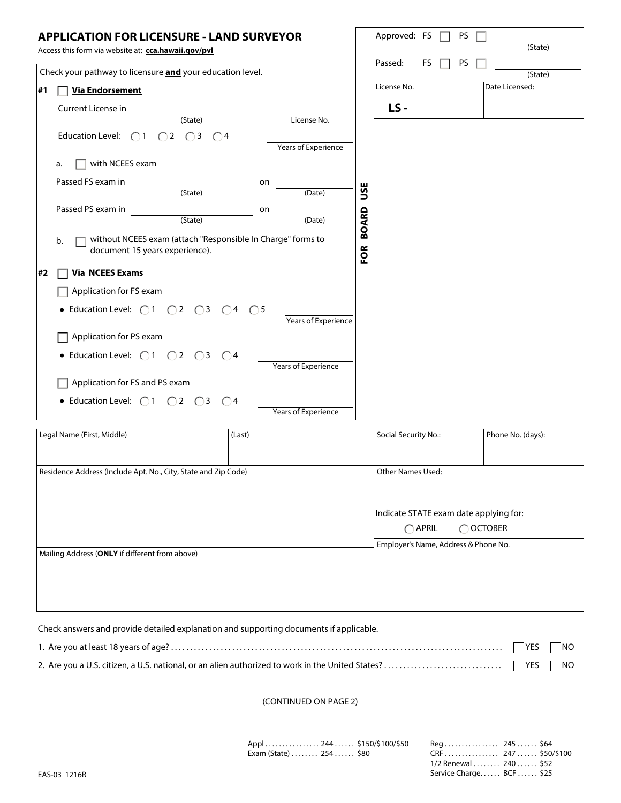|    | <b>APPLICATION FOR LICENSURE - LAND SURVEYOR</b><br>Access this form via website at: cca.hawaii.gov/pvl |                            |                                                                        | Approved: FS             |    |  | PS. | (State)           |
|----|---------------------------------------------------------------------------------------------------------|----------------------------|------------------------------------------------------------------------|--------------------------|----|--|-----|-------------------|
|    | Check your pathway to licensure and your education level.                                               |                            |                                                                        | Passed:                  | FS |  | PS  | (State)           |
| #1 | <b>Via Endorsement</b>                                                                                  |                            |                                                                        | License No.              |    |  |     | Date Licensed:    |
|    | Current License in                                                                                      |                            |                                                                        | LS-                      |    |  |     |                   |
|    | $\overline{(State)}$                                                                                    | License No.                |                                                                        |                          |    |  |     |                   |
|    | Education Level: $\bigcirc$ 1 $\bigcirc$ 2 $\bigcirc$ 3 $\bigcirc$ 4                                    | <b>Years of Experience</b> |                                                                        |                          |    |  |     |                   |
|    | with NCEES exam<br>a.                                                                                   |                            |                                                                        |                          |    |  |     |                   |
|    | Passed FS exam in<br>on                                                                                 |                            |                                                                        |                          |    |  |     |                   |
|    | (State)                                                                                                 | (Date)                     | USE                                                                    |                          |    |  |     |                   |
|    | Passed PS exam in<br>on                                                                                 |                            |                                                                        |                          |    |  |     |                   |
|    | $(State)$                                                                                               | (Date)                     | <b>BOARD</b>                                                           |                          |    |  |     |                   |
|    | without NCEES exam (attach "Responsible In Charge" forms to<br>b.<br>document 15 years experience).     |                            | FOR                                                                    |                          |    |  |     |                   |
| #2 | <b>Via NCEES Exams</b>                                                                                  |                            |                                                                        |                          |    |  |     |                   |
|    | Application for FS exam                                                                                 |                            |                                                                        |                          |    |  |     |                   |
|    | • Education Level: $\bigcirc$ 1 $\bigcirc$ 2 $\bigcirc$ 3 $\bigcirc$ 4 $\bigcirc$ 5                     | Years of Experience        |                                                                        |                          |    |  |     |                   |
|    | Application for PS exam                                                                                 |                            |                                                                        |                          |    |  |     |                   |
|    | • Education Level: $\bigcirc$ 1 $\bigcirc$ 2 $\bigcirc$ 3 $\bigcirc$ 4                                  |                            |                                                                        |                          |    |  |     |                   |
|    |                                                                                                         | <b>Years of Experience</b> |                                                                        |                          |    |  |     |                   |
|    | Application for FS and PS exam                                                                          |                            |                                                                        |                          |    |  |     |                   |
|    | • Education Level: $\bigcirc$ 1 $\bigcirc$ 2 $\bigcirc$ 3 $\bigcirc$ 4                                  | <b>Years of Experience</b> |                                                                        |                          |    |  |     |                   |
|    | Legal Name (First, Middle)<br>(Last)                                                                    |                            |                                                                        | Social Security No.:     |    |  |     | Phone No. (days): |
|    |                                                                                                         |                            |                                                                        |                          |    |  |     |                   |
|    | Residence Address (Include Apt. No., City, State and Zip Code)                                          |                            |                                                                        | <b>Other Names Used:</b> |    |  |     |                   |
|    |                                                                                                         |                            |                                                                        |                          |    |  |     |                   |
|    |                                                                                                         |                            |                                                                        |                          |    |  |     |                   |
|    |                                                                                                         |                            | Indicate STATE exam date applying for:<br>$\bigcap$ APRIL<br>◯ OCTOBER |                          |    |  |     |                   |
|    |                                                                                                         |                            | Employer's Name, Address & Phone No.                                   |                          |    |  |     |                   |
|    | Mailing Address (ONLY if different from above)                                                          |                            |                                                                        |                          |    |  |     |                   |
|    |                                                                                                         |                            |                                                                        |                          |    |  |     |                   |
|    |                                                                                                         |                            |                                                                        |                          |    |  |     |                   |
|    |                                                                                                         |                            |                                                                        |                          |    |  |     |                   |

Check answers and provide detailed explanation and supporting documents if applicable.

(CONTINUED ON PAGE 2)

Appl . . . . . . . . . . . . . . . . 244 . . . . . . \$150/\$100/\$50 Reg . . . . . . . . . . . . . . . . 245 . . . . . . \$64 Exam (State) . . . . . . . . 254 . . . . . . \$80 CRF . . . . . . . . . . . . . . . . 247 . . . . . . \$50/\$100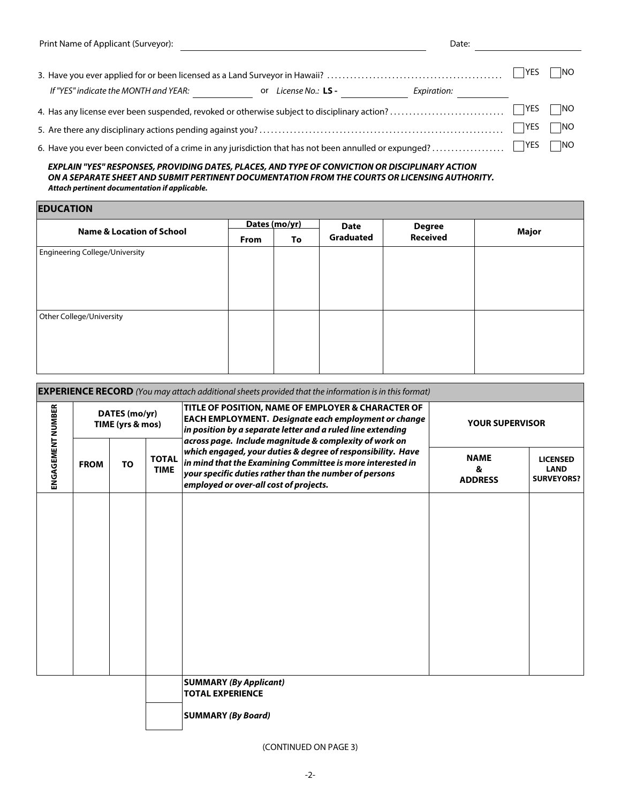| Print Name of Applicant (Surveyor):         | Date:                            |             |     |
|---------------------------------------------|----------------------------------|-------------|-----|
|                                             |                                  | <b>IYES</b> | NO  |
| If "YES" indicate the MONTH and YEAR:<br>or | License No.: LS -<br>Expiration: |             |     |
|                                             |                                  | <b>IYES</b> | NO  |
|                                             |                                  | VFC         | ⊣ங∩ |

5. Are there any disciplinary actions pending against you? . . . . . . . . . . . . . . . . . . . . . . . . . . . . . . . . . . . . . . . . . . . . . . . . . . . . . . . . . . . . . . . . YES NO

6. Have you ever been convicted of a crime in any jurisdiction that has not been annulled or expunged? . . . . . . . . . . . . . . . . . . . YES NO

 *EXPLAIN "YES" RESPONSES, PROVIDING DATES, PLACES, AND TYPE OF CONVICTION OR DISCIPLINARY ACTION ON A SEPARATE SHEET AND SUBMIT PERTINENT DOCUMENTATION FROM THE COURTS OR LICENSING AUTHORITY. Attach pertinent documentation if applicable.*

**EDUCATION**

| <b>EDUCATION</b>                      |               |    |                  |                 |       |  |  |  |
|---------------------------------------|---------------|----|------------------|-----------------|-------|--|--|--|
|                                       | Dates (mo/yr) |    | <b>Date</b>      | <b>Degree</b>   |       |  |  |  |
| <b>Name &amp; Location of School</b>  | From          | To | <b>Graduated</b> | <b>Received</b> | Major |  |  |  |
| <b>Engineering College/University</b> |               |    |                  |                 |       |  |  |  |
| Other College/University              |               |    |                  |                 |       |  |  |  |

| <b>EXPERIENCE RECORD</b> (You may attach additional sheets provided that the information is in this format) |             |                                   |                             |                                                                                                                                                                                                                                                |                                    |                                                     |  |
|-------------------------------------------------------------------------------------------------------------|-------------|-----------------------------------|-----------------------------|------------------------------------------------------------------------------------------------------------------------------------------------------------------------------------------------------------------------------------------------|------------------------------------|-----------------------------------------------------|--|
|                                                                                                             |             | DATES (mo/yr)<br>TIME (yrs & mos) |                             | TITLE OF POSITION, NAME OF EMPLOYER & CHARACTER OF<br><b>EACH EMPLOYMENT. Designate each employment or change</b><br>$ $ in position by a separate letter and a ruled line extending<br>across page. Include magnitude & complexity of work on | <b>YOUR SUPERVISOR</b>             |                                                     |  |
| ENGAGEMENT NUMBER                                                                                           | <b>FROM</b> | <b>TO</b>                         | <b>TOTAL</b><br><b>TIME</b> | which engaged, your duties & degree of responsibility. Have<br>in mind that the Examining Committee is more interested in<br>$ $ your specific duties rather than the number of persons<br>employed or over-all cost of projects.              | <b>NAME</b><br>&<br><b>ADDRESS</b> | <b>LICENSED</b><br><b>LAND</b><br><b>SURVEYORS?</b> |  |
|                                                                                                             |             |                                   |                             |                                                                                                                                                                                                                                                |                                    |                                                     |  |
|                                                                                                             |             |                                   |                             |                                                                                                                                                                                                                                                |                                    |                                                     |  |
|                                                                                                             |             |                                   |                             |                                                                                                                                                                                                                                                |                                    |                                                     |  |
|                                                                                                             |             |                                   |                             |                                                                                                                                                                                                                                                |                                    |                                                     |  |
|                                                                                                             |             |                                   |                             | <b>SUMMARY (By Applicant)</b><br><b>TOTAL EXPERIENCE</b>                                                                                                                                                                                       |                                    |                                                     |  |

**SUMMARY** *(By Board)*